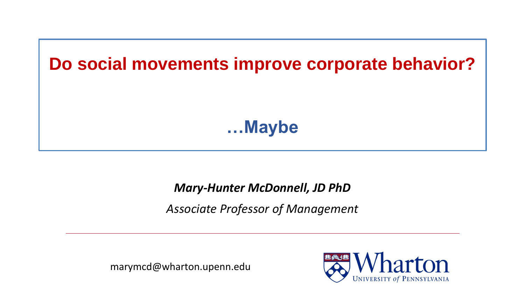

#### *Mary-Hunter McDonnell, JD PhD*

*Associate Professor of Management*

marymcd@wharton.upenn.edu

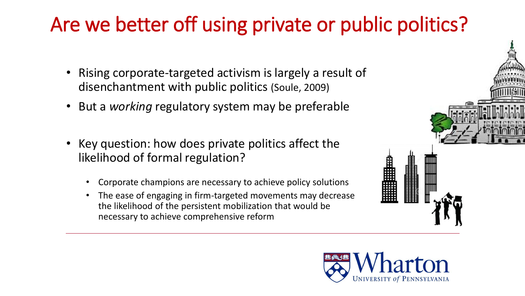# Are we better off using private or public politics?

- Rising corporate-targeted activism is largely a result of disenchantment with public politics (Soule, 2009)
- But a *working* regulatory system may be preferable
- Key question: how does private politics affect the likelihood of formal regulation?
	- Corporate champions are necessary to achieve policy solutions
	- The ease of engaging in firm-targeted movements may decrease the likelihood of the persistent mobilization that would be necessary to achieve comprehensive reform



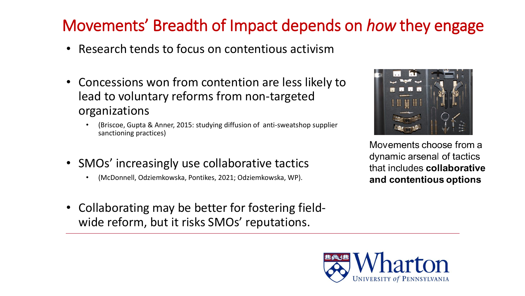## Movements' Breadth of Impact depends on *how* they engage

- Research tends to focus on contentious activism
- Concessions won from contention are less likely to lead to voluntary reforms from non-targeted organizations
	- (Briscoe, Gupta & Anner, 2015: studying diffusion of anti-sweatshop supplier sanctioning practices)
- SMOs' increasingly use collaborative tactics
	- (McDonnell, Odziemkowska, Pontikes, 2021; Odziemkowska, WP).
- Collaborating may be better for fostering fieldwide reform, but it risks SMOs' reputations.



Movements choose from a dynamic arsenal of tactics that includes collaborative and contentious options

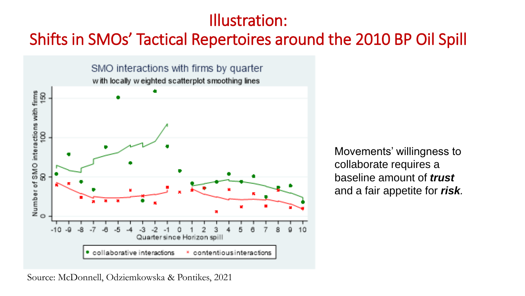### Illustration:

### Shifts in SMOs' Tactical Repertoires around the 2010 BP Oil Spill



Movements' willingness to collaborate requires a baseline amount of *trust*  and a fair appetite for *risk.*

Source: McDonnell, Odziemkowska & Pontikes, 2021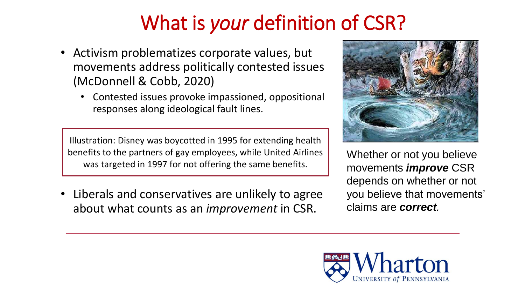# What is *your* definition of CSR?

- Activism problematizes corporate values, but movements address politically contested issues (McDonnell & Cobb, 2020)
	- Contested issues provoke impassioned, oppositional responses along ideological fault lines.

Illustration: Disney was boycotted in 1995 for extending health benefits to the partners of gay employees, while United Airlines was targeted in 1997 for not offering the same benefits.

• Liberals and conservatives are unlikely to agree about what counts as an *improvement* in CSR.



Whether or not you believe movements *improve* CSR depends on whether or not you believe that movements' claims are *correct.*

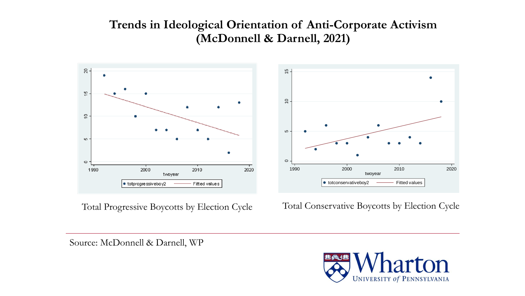#### **Trends in Ideological Orientation of Anti-Corporate Activism (McDonnell & Darnell, 2021)**





Total Progressive Boycotts by Election Cycle Total Conservative Boycotts by Election Cycle

Source: McDonnell & Darnell, WP

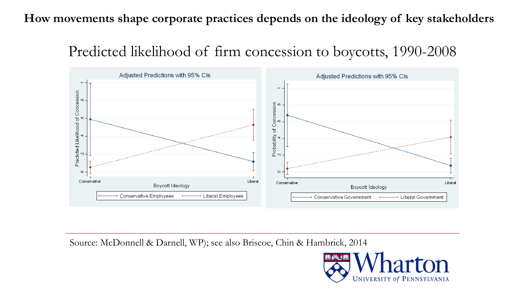#### **How movements shape corporate practices depends on the ideology of key stakeholders**

### Predicted likelihood of firm concession to boycotts, 1990-2008



Source: McDonnell & Darnell, WP); see also Briscoe, Chin & Hambrick, 2014